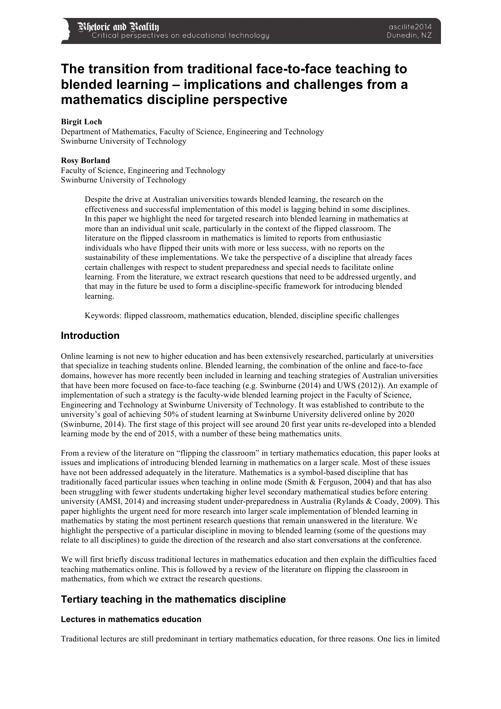# **The transition from traditional face-to-face teaching to blended learning – implications and challenges from a mathematics discipline perspective**

#### **Birgit Loch**

Department of Mathematics, Faculty of Science, Engineering and Technology Swinburne University of Technology

#### **Rosy Borland**

Faculty of Science, Engineering and Technology Swinburne University of Technology

> Despite the drive at Australian universities towards blended learning, the research on the effectiveness and successful implementation of this model is lagging behind in some disciplines. In this paper we highlight the need for targeted research into blended learning in mathematics at more than an individual unit scale, particularly in the context of the flipped classroom. The literature on the flipped classroom in mathematics is limited to reports from enthusiastic individuals who have flipped their units with more or less success, with no reports on the sustainability of these implementations. We take the perspective of a discipline that already faces certain challenges with respect to student preparedness and special needs to facilitate online learning. From the literature, we extract research questions that need to be addressed urgently, and that may in the future be used to form a discipline-specific framework for introducing blended learning.

Keywords: flipped classroom, mathematics education, blended, discipline specific challenges

## **Introduction**

Online learning is not new to higher education and has been extensively researched, particularly at universities that specialize in teaching students online. Blended learning, the combination of the online and face-to-face domains, however has more recently been included in learning and teaching strategies of Australian universities that have been more focused on face-to-face teaching (e.g. Swinburne (2014) and UWS (2012)). An example of implementation of such a strategy is the faculty-wide blended learning project in the Faculty of Science, Engineering and Technology at Swinburne University of Technology. It was established to contribute to the university's goal of achieving 50% of student learning at Swinburne University delivered online by 2020 (Swinburne, 2014). The first stage of this project will see around 20 first year units re-developed into a blended learning mode by the end of 2015, with a number of these being mathematics units.

From a review of the literature on "flipping the classroom" in tertiary mathematics education, this paper looks at issues and implications of introducing blended learning in mathematics on a larger scale. Most of these issues have not been addressed adequately in the literature. Mathematics is a symbol-based discipline that has traditionally faced particular issues when teaching in online mode (Smith & Ferguson, 2004) and that has also been struggling with fewer students undertaking higher level secondary mathematical studies before entering university (AMSI, 2014) and increasing student under-preparedness in Australia (Rylands & Coady, 2009). This paper highlights the urgent need for more research into larger scale implementation of blended learning in mathematics by stating the most pertinent research questions that remain unanswered in the literature. We highlight the perspective of a particular discipline in moving to blended learning (some of the questions may relate to all disciplines) to guide the direction of the research and also start conversations at the conference.

We will first briefly discuss traditional lectures in mathematics education and then explain the difficulties faced teaching mathematics online. This is followed by a review of the literature on flipping the classroom in mathematics, from which we extract the research questions.

# **Tertiary teaching in the mathematics discipline**

#### **Lectures in mathematics education**

Traditional lectures are still predominant in tertiary mathematics education, for three reasons. One lies in limited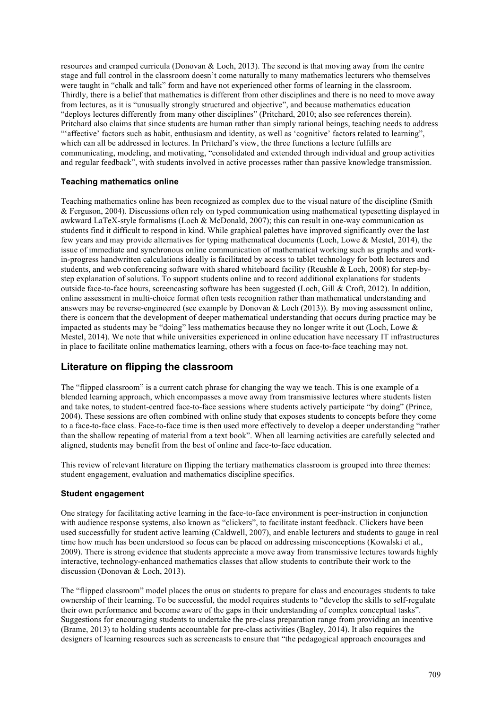resources and cramped curricula (Donovan & Loch, 2013). The second is that moving away from the centre stage and full control in the classroom doesn't come naturally to many mathematics lecturers who themselves were taught in "chalk and talk" form and have not experienced other forms of learning in the classroom. Thirdly, there is a belief that mathematics is different from other disciplines and there is no need to move away from lectures, as it is "unusually strongly structured and objective", and because mathematics education "deploys lectures differently from many other disciplines" (Pritchard, 2010; also see references therein). Pritchard also claims that since students are human rather than simply rational beings, teaching needs to address "affective' factors such as habit, enthusiasm and identity, as well as 'cognitive' factors related to learning", which can all be addressed in lectures. In Pritchard's view, the three functions a lecture fulfills are communicating, modeling, and motivating, "consolidated and extended through individual and group activities and regular feedback", with students involved in active processes rather than passive knowledge transmission.

### **Teaching mathematics online**

Teaching mathematics online has been recognized as complex due to the visual nature of the discipline (Smith & Ferguson, 2004). Discussions often rely on typed communication using mathematical typesetting displayed in awkward LaTeX-style formalisms (Loch & McDonald, 2007); this can result in one-way communication as students find it difficult to respond in kind. While graphical palettes have improved significantly over the last few years and may provide alternatives for typing mathematical documents (Loch, Lowe & Mestel, 2014), the issue of immediate and synchronous online communication of mathematical working such as graphs and workin-progress handwritten calculations ideally is facilitated by access to tablet technology for both lecturers and students, and web conferencing software with shared whiteboard facility (Reushle & Loch, 2008) for step-bystep explanation of solutions. To support students online and to record additional explanations for students outside face-to-face hours, screencasting software has been suggested (Loch, Gill & Croft, 2012). In addition, online assessment in multi-choice format often tests recognition rather than mathematical understanding and answers may be reverse-engineered (see example by Donovan & Loch (2013)). By moving assessment online, there is concern that the development of deeper mathematical understanding that occurs during practice may be impacted as students may be "doing" less mathematics because they no longer write it out (Loch, Lowe & Mestel, 2014). We note that while universities experienced in online education have necessary IT infrastructures in place to facilitate online mathematics learning, others with a focus on face-to-face teaching may not.

# **Literature on flipping the classroom**

The "flipped classroom" is a current catch phrase for changing the way we teach. This is one example of a blended learning approach, which encompasses a move away from transmissive lectures where students listen and take notes, to student-centred face-to-face sessions where students actively participate "by doing" (Prince, 2004). These sessions are often combined with online study that exposes students to concepts before they come to a face-to-face class. Face-to-face time is then used more effectively to develop a deeper understanding "rather than the shallow repeating of material from a text book". When all learning activities are carefully selected and aligned, students may benefit from the best of online and face-to-face education.

This review of relevant literature on flipping the tertiary mathematics classroom is grouped into three themes: student engagement, evaluation and mathematics discipline specifics.

#### **Student engagement**

One strategy for facilitating active learning in the face-to-face environment is peer-instruction in conjunction with audience response systems, also known as "clickers", to facilitate instant feedback. Clickers have been used successfully for student active learning (Caldwell, 2007), and enable lecturers and students to gauge in real time how much has been understood so focus can be placed on addressing misconceptions (Kowalski et al., 2009). There is strong evidence that students appreciate a move away from transmissive lectures towards highly interactive, technology-enhanced mathematics classes that allow students to contribute their work to the discussion (Donovan & Loch, 2013).

The "flipped classroom" model places the onus on students to prepare for class and encourages students to take ownership of their learning. To be successful, the model requires students to "develop the skills to self-regulate their own performance and become aware of the gaps in their understanding of complex conceptual tasks". Suggestions for encouraging students to undertake the pre-class preparation range from providing an incentive (Brame, 2013) to holding students accountable for pre-class activities (Bagley, 2014). It also requires the designers of learning resources such as screencasts to ensure that "the pedagogical approach encourages and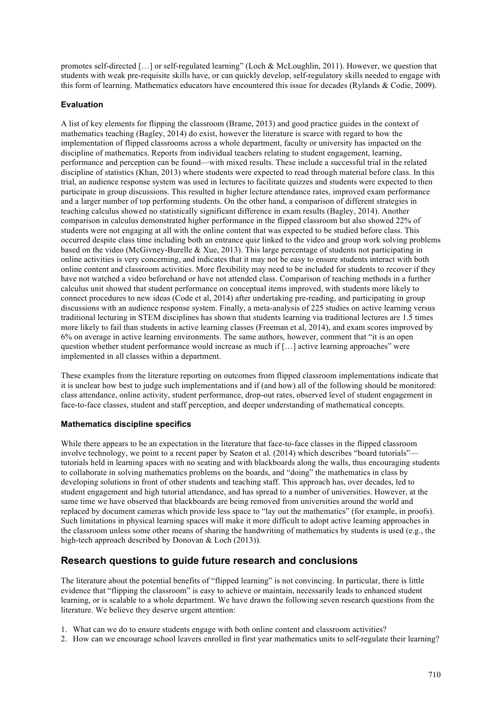promotes self-directed […] or self-regulated learning" (Loch & McLoughlin, 2011). However, we question that students with weak pre-requisite skills have, or can quickly develop, self-regulatory skills needed to engage with this form of learning. Mathematics educators have encountered this issue for decades (Rylands & Codie, 2009).

### **Evaluation**

A list of key elements for flipping the classroom (Brame, 2013) and good practice guides in the context of mathematics teaching (Bagley, 2014) do exist, however the literature is scarce with regard to how the implementation of flipped classrooms across a whole department, faculty or university has impacted on the discipline of mathematics. Reports from individual teachers relating to student engagement, learning, performance and perception can be found—with mixed results. These include a successful trial in the related discipline of statistics (Khan, 2013) where students were expected to read through material before class. In this trial, an audience response system was used in lectures to facilitate quizzes and students were expected to then participate in group discussions. This resulted in higher lecture attendance rates, improved exam performance and a larger number of top performing students. On the other hand, a comparison of different strategies in teaching calculus showed no statistically significant difference in exam results (Bagley, 2014). Another comparison in calculus demonstrated higher performance in the flipped classroom but also showed 22% of students were not engaging at all with the online content that was expected to be studied before class. This occurred despite class time including both an entrance quiz linked to the video and group work solving problems based on the video (McGivney-Burelle & Xue, 2013). This large percentage of students not participating in online activities is very concerning, and indicates that it may not be easy to ensure students interact with both online content and classroom activities. More flexibility may need to be included for students to recover if they have not watched a video beforehand or have not attended class. Comparison of teaching methods in a further calculus unit showed that student performance on conceptual items improved, with students more likely to connect procedures to new ideas (Code et al, 2014) after undertaking pre-reading, and participating in group discussions with an audience response system. Finally, a meta-analysis of 225 studies on active learning versus traditional lecturing in STEM disciplines has shown that students learning via traditional lectures are 1.5 times more likely to fail than students in active learning classes (Freeman et al, 2014), and exam scores improved by 6% on average in active learning environments. The same authors, however, comment that "it is an open question whether student performance would increase as much if […] active learning approaches" were implemented in all classes within a department.

These examples from the literature reporting on outcomes from flipped classroom implementations indicate that it is unclear how best to judge such implementations and if (and how) all of the following should be monitored: class attendance, online activity, student performance, drop-out rates, observed level of student engagement in face-to-face classes, student and staff perception, and deeper understanding of mathematical concepts.

#### **Mathematics discipline specifics**

While there appears to be an expectation in the literature that face-to-face classes in the flipped classroom involve technology, we point to a recent paper by Seaton et al. (2014) which describes "board tutorials" tutorials held in learning spaces with no seating and with blackboards along the walls, thus encouraging students to collaborate in solving mathematics problems on the boards, and "doing" the mathematics in class by developing solutions in front of other students and teaching staff. This approach has, over decades, led to student engagement and high tutorial attendance, and has spread to a number of universities. However, at the same time we have observed that blackboards are being removed from universities around the world and replaced by document cameras which provide less space to "lay out the mathematics" (for example, in proofs). Such limitations in physical learning spaces will make it more difficult to adopt active learning approaches in the classroom unless some other means of sharing the handwriting of mathematics by students is used (e.g., the high-tech approach described by Donovan & Loch (2013)).

# **Research questions to guide future research and conclusions**

The literature about the potential benefits of "flipped learning" is not convincing. In particular, there is little evidence that "flipping the classroom" is easy to achieve or maintain, necessarily leads to enhanced student learning, or is scalable to a whole department. We have drawn the following seven research questions from the literature. We believe they deserve urgent attention:

- 1. What can we do to ensure students engage with both online content and classroom activities?
- 2. How can we encourage school leavers enrolled in first year mathematics units to self-regulate their learning?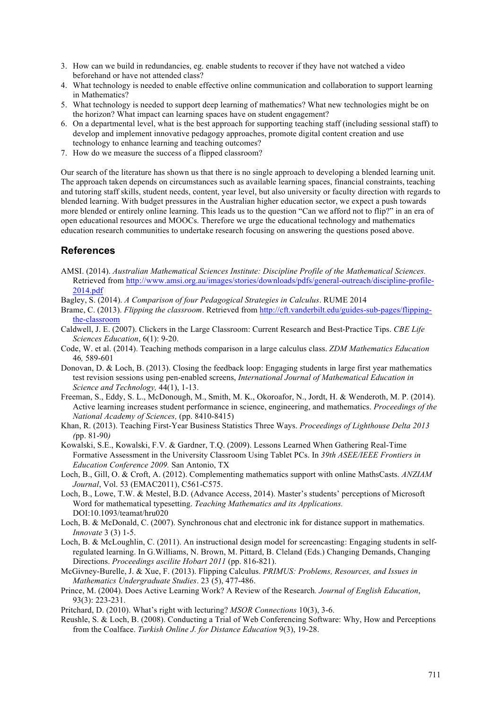- 3. How can we build in redundancies, eg. enable students to recover if they have not watched a video beforehand or have not attended class?
- 4. What technology is needed to enable effective online communication and collaboration to support learning in Mathematics?
- 5. What technology is needed to support deep learning of mathematics? What new technologies might be on the horizon? What impact can learning spaces have on student engagement?
- 6. On a departmental level, what is the best approach for supporting teaching staff (including sessional staff) to develop and implement innovative pedagogy approaches, promote digital content creation and use technology to enhance learning and teaching outcomes?
- 7. How do we measure the success of a flipped classroom?

Our search of the literature has shown us that there is no single approach to developing a blended learning unit. The approach taken depends on circumstances such as available learning spaces, financial constraints, teaching and tutoring staff skills, student needs, content, year level, but also university or faculty direction with regards to blended learning. With budget pressures in the Australian higher education sector, we expect a push towards more blended or entirely online learning. This leads us to the question "Can we afford not to flip?" in an era of open educational resources and MOOCs. Therefore we urge the educational technology and mathematics education research communities to undertake research focusing on answering the questions posed above.

# **References**

- AMSI. (2014). *Australian Mathematical Sciences Institute: Discipline Profile of the Mathematical Sciences.* Retrieved from http://www.amsi.org.au/images/stories/downloads/pdfs/general-outreach/discipline-profile-2014.pdf
- Bagley, S. (2014). *A Comparison of four Pedagogical Strategies in Calculus*. RUME 2014
- Brame, C. (2013). *Flipping the classroom*. Retrieved from http://cft.vanderbilt.edu/guides-sub-pages/flippingthe-classroom
- Caldwell, J. E. (2007). Clickers in the Large Classroom: Current Research and Best-Practice Tips. *CBE Life Sciences Education*, 6(1): 9-20.
- Code, W. et al. (2014). Teaching methods comparison in a large calculus class. *ZDM Mathematics Education*  46*,* 589-601
- Donovan, D. & Loch, B. (2013). Closing the feedback loop: Engaging students in large first year mathematics test revision sessions using pen-enabled screens, *International Journal of Mathematical Education in Science and Technology,* 44(1), 1-13.
- Freeman, S., Eddy, S. L., McDonough, M., Smith, M. K., Okoroafor, N., Jordt, H. & Wenderoth, M. P. (2014). Active learning increases student performance in science, engineering, and mathematics. *Proceedings of the National Academy of Sciences,* (pp. 8410-8415)
- Khan, R. (2013). Teaching First-Year Business Statistics Three Ways. *Proceedings of Lighthouse Delta 2013 (*pp. 81-90*)*
- Kowalski, S.E., Kowalski, F.V. & Gardner, T.Q. (2009). Lessons Learned When Gathering Real-Time Formative Assessment in the University Classroom Using Tablet PCs. In *39th ASEE/IEEE Frontiers in Education Conference 2009.* San Antonio, TX
- Loch, B., Gill, O. & Croft, A. (2012). Complementing mathematics support with online MathsCasts. *ANZIAM Journal*, Vol. 53 (EMAC2011), C561-C575.
- Loch, B., Lowe, T.W. & Mestel, B.D. (Advance Access, 2014). Master's students' perceptions of Microsoft Word for mathematical typesetting. *Teaching Mathematics and its Applications.*  DOI:10.1093/teamat/hru020
- Loch, B. & McDonald, C. (2007). Synchronous chat and electronic ink for distance support in mathematics. *Innovate* 3 (3) 1-5.
- Loch, B. & McLoughlin, C. (2011). An instructional design model for screencasting: Engaging students in selfregulated learning. In G.Williams, N. Brown, M. Pittard, B. Cleland (Eds.) Changing Demands, Changing Directions. *Proceedings ascilite Hobart 2011* (pp. 816-821).
- McGivney-Burelle, J. & Xue, F. (2013). Flipping Calculus. *PRIMUS: Problems, Resources, and Issues in Mathematics Undergraduate Studies*. 23 (5), 477-486.
- Prince, M. (2004). Does Active Learning Work? A Review of the Research*. Journal of English Education*, 93(3): 223-231.
- Pritchard, D. (2010). What's right with lecturing? *MSOR Connections* 10(3), 3-6.
- Reushle, S. & Loch, B. (2008). Conducting a Trial of Web Conferencing Software: Why, How and Perceptions from the Coalface. *Turkish Online J. for Distance Education* 9(3), 19-28.